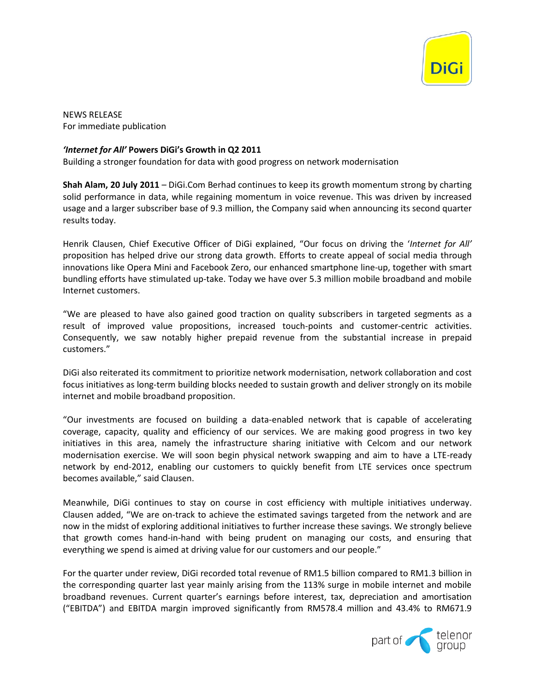

NEWS RELEASE For immediate publication

## *'Internet for All'* **Powers DiGi's Growth in Q2 2011**

Building a stronger foundation for data with good progress on network modernisation

**Shah Alam, 20 July 2011** – DiGi.Com Berhad continues to keep its growth momentum strong by charting solid performance in data, while regaining momentum in voice revenue. This was driven by increased usage and a larger subscriber base of 9.3 million, the Company said when announcing its second quarter results today.

Henrik Clausen, Chief Executive Officer of DiGi explained, "Our focus on driving the '*Internet for All'* proposition has helped drive our strong data growth. Efforts to create appeal of social media through innovations like Opera Mini and Facebook Zero, our enhanced smartphone line-up, together with smart bundling efforts have stimulated up-take. Today we have over 5.3 million mobile broadband and mobile Internet customers.

"We are pleased to have also gained good traction on quality subscribers in targeted segments as a result of improved value propositions, increased touch-points and customer-centric activities. Consequently, we saw notably higher prepaid revenue from the substantial increase in prepaid customers."

DiGi also reiterated its commitment to prioritize network modernisation, network collaboration and cost focus initiatives as long-term building blocks needed to sustain growth and deliver strongly on its mobile internet and mobile broadband proposition.

"Our investments are focused on building a data-enabled network that is capable of accelerating coverage, capacity, quality and efficiency of our services. We are making good progress in two key initiatives in this area, namely the infrastructure sharing initiative with Celcom and our network modernisation exercise. We will soon begin physical network swapping and aim to have a LTE-ready network by end-2012, enabling our customers to quickly benefit from LTE services once spectrum becomes available," said Clausen.

Meanwhile, DiGi continues to stay on course in cost efficiency with multiple initiatives underway. Clausen added, "We are on-track to achieve the estimated savings targeted from the network and are now in the midst of exploring additional initiatives to further increase these savings. We strongly believe that growth comes hand-in-hand with being prudent on managing our costs, and ensuring that everything we spend is aimed at driving value for our customers and our people."

For the quarter under review, DiGi recorded total revenue of RM1.5 billion compared to RM1.3 billion in the corresponding quarter last year mainly arising from the 113% surge in mobile internet and mobile broadband revenues. Current quarter's earnings before interest, tax, depreciation and amortisation ("EBITDA") and EBITDA margin improved significantly from RM578.4 million and 43.4% to RM671.9